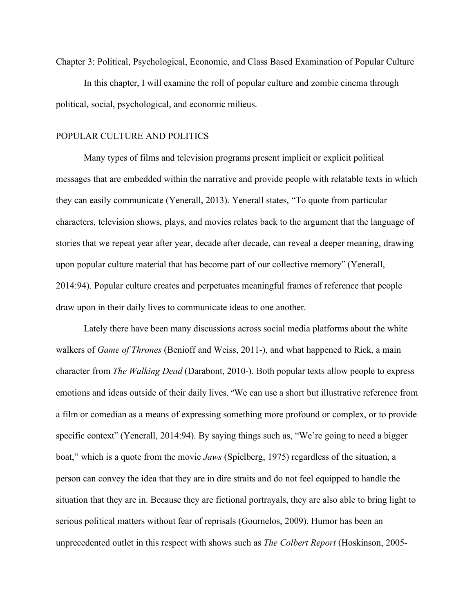Chapter 3: Political, Psychological, Economic, and Class Based Examination of Popular Culture In this chapter, I will examine the roll of popular culture and zombie cinema through political, social, psychological, and economic milieus.

## POPULAR CULTURE AND POLITICS

Many types of films and television programs present implicit or explicit political messages that are embedded within the narrative and provide people with relatable texts in which they can easily communicate (Yenerall, 2013). Yenerall states, "To quote from particular characters, television shows, plays, and movies relates back to the argument that the language of stories that we repeat year after year, decade after decade, can reveal a deeper meaning, drawing upon popular culture material that has become part of our collective memory" (Yenerall, 2014:94). Popular culture creates and perpetuates meaningful frames of reference that people draw upon in their daily lives to communicate ideas to one another.

Lately there have been many discussions across social media platforms about the white walkers of *Game of Thrones* (Benioff and Weiss, 2011-), and what happened to Rick, a main character from *The Walking Dead* (Darabont, 2010-). Both popular texts allow people to express emotions and ideas outside of their daily lives. "We can use a short but illustrative reference from a film or comedian as a means of expressing something more profound or complex, or to provide specific context" (Yenerall, 2014:94). By saying things such as, "We're going to need a bigger boat," which is a quote from the movie *Jaws* (Spielberg, 1975) regardless of the situation, a person can convey the idea that they are in dire straits and do not feel equipped to handle the situation that they are in. Because they are fictional portrayals, they are also able to bring light to serious political matters without fear of reprisals (Gournelos, 2009). Humor has been an unprecedented outlet in this respect with shows such as *The Colbert Report* (Hoskinson, 2005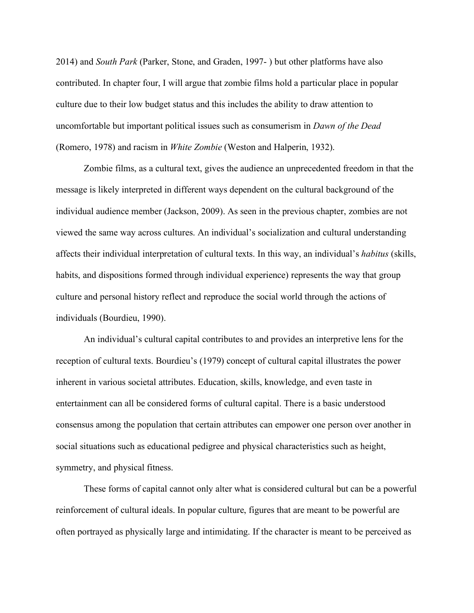2014) and *South Park* (Parker, Stone, and Graden, 1997- ) but other platforms have also contributed. In chapter four, I will argue that zombie films hold a particular place in popular culture due to their low budget status and this includes the ability to draw attention to uncomfortable but important political issues such as consumerism in *Dawn of the Dead* (Romero, 1978) and racism in *White Zombie* (Weston and Halperin, 1932).

Zombie films, as a cultural text, gives the audience an unprecedented freedom in that the message is likely interpreted in different ways dependent on the cultural background of the individual audience member (Jackson, 2009). As seen in the previous chapter, zombies are not viewed the same way across cultures. An individual's socialization and cultural understanding affects their individual interpretation of cultural texts. In this way, an individual's *habitus* (skills, habits, and dispositions formed through individual experience) represents the way that group culture and personal history reflect and reproduce the social world through the actions of individuals (Bourdieu, 1990).

An individual's cultural capital contributes to and provides an interpretive lens for the reception of cultural texts. Bourdieu's (1979) concept of cultural capital illustrates the power inherent in various societal attributes. Education, skills, knowledge, and even taste in entertainment can all be considered forms of cultural capital. There is a basic understood consensus among the population that certain attributes can empower one person over another in social situations such as educational pedigree and physical characteristics such as height, symmetry, and physical fitness.

These forms of capital cannot only alter what is considered cultural but can be a powerful reinforcement of cultural ideals. In popular culture, figures that are meant to be powerful are often portrayed as physically large and intimidating. If the character is meant to be perceived as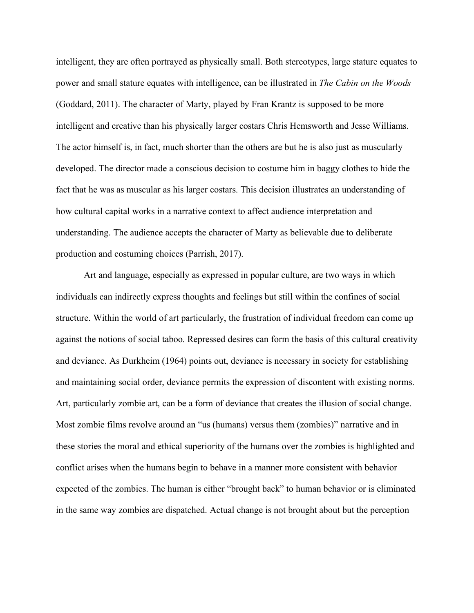intelligent, they are often portrayed as physically small. Both stereotypes, large stature equates to power and small stature equates with intelligence, can be illustrated in *The Cabin on the Woods* (Goddard, 2011). The character of Marty, played by Fran Krantz is supposed to be more intelligent and creative than his physically larger costars Chris Hemsworth and Jesse Williams. The actor himself is, in fact, much shorter than the others are but he is also just as muscularly developed. The director made a conscious decision to costume him in baggy clothes to hide the fact that he was as muscular as his larger costars. This decision illustrates an understanding of how cultural capital works in a narrative context to affect audience interpretation and understanding. The audience accepts the character of Marty as believable due to deliberate production and costuming choices (Parrish, 2017).

Art and language, especially as expressed in popular culture, are two ways in which individuals can indirectly express thoughts and feelings but still within the confines of social structure. Within the world of art particularly, the frustration of individual freedom can come up against the notions of social taboo. Repressed desires can form the basis of this cultural creativity and deviance. As Durkheim (1964) points out, deviance is necessary in society for establishing and maintaining social order, deviance permits the expression of discontent with existing norms. Art, particularly zombie art, can be a form of deviance that creates the illusion of social change. Most zombie films revolve around an "us (humans) versus them (zombies)" narrative and in these stories the moral and ethical superiority of the humans over the zombies is highlighted and conflict arises when the humans begin to behave in a manner more consistent with behavior expected of the zombies. The human is either "brought back" to human behavior or is eliminated in the same way zombies are dispatched. Actual change is not brought about but the perception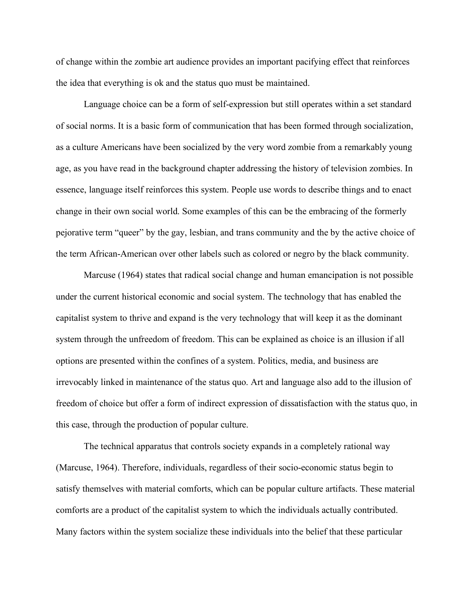of change within the zombie art audience provides an important pacifying effect that reinforces the idea that everything is ok and the status quo must be maintained.

Language choice can be a form of self-expression but still operates within a set standard of social norms. It is a basic form of communication that has been formed through socialization, as a culture Americans have been socialized by the very word zombie from a remarkably young age, as you have read in the background chapter addressing the history of television zombies. In essence, language itself reinforces this system. People use words to describe things and to enact change in their own social world. Some examples of this can be the embracing of the formerly pejorative term "queer" by the gay, lesbian, and trans community and the by the active choice of the term African-American over other labels such as colored or negro by the black community.

Marcuse (1964) states that radical social change and human emancipation is not possible under the current historical economic and social system. The technology that has enabled the capitalist system to thrive and expand is the very technology that will keep it as the dominant system through the unfreedom of freedom. This can be explained as choice is an illusion if all options are presented within the confines of a system. Politics, media, and business are irrevocably linked in maintenance of the status quo. Art and language also add to the illusion of freedom of choice but offer a form of indirect expression of dissatisfaction with the status quo, in this case, through the production of popular culture.

The technical apparatus that controls society expands in a completely rational way (Marcuse, 1964). Therefore, individuals, regardless of their socio-economic status begin to satisfy themselves with material comforts, which can be popular culture artifacts. These material comforts are a product of the capitalist system to which the individuals actually contributed. Many factors within the system socialize these individuals into the belief that these particular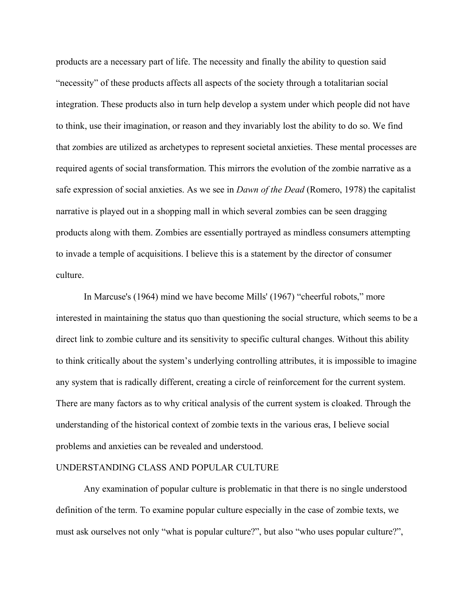products are a necessary part of life. The necessity and finally the ability to question said "necessity" of these products affects all aspects of the society through a totalitarian social integration. These products also in turn help develop a system under which people did not have to think, use their imagination, or reason and they invariably lost the ability to do so. We find that zombies are utilized as archetypes to represent societal anxieties. These mental processes are required agents of social transformation. This mirrors the evolution of the zombie narrative as a safe expression of social anxieties. As we see in *Dawn of the Dead* (Romero, 1978) the capitalist narrative is played out in a shopping mall in which several zombies can be seen dragging products along with them. Zombies are essentially portrayed as mindless consumers attempting to invade a temple of acquisitions. I believe this is a statement by the director of consumer culture.

In Marcuse's (1964) mind we have become Mills' (1967) "cheerful robots," more interested in maintaining the status quo than questioning the social structure, which seems to be a direct link to zombie culture and its sensitivity to specific cultural changes. Without this ability to think critically about the system's underlying controlling attributes, it is impossible to imagine any system that is radically different, creating a circle of reinforcement for the current system. There are many factors as to why critical analysis of the current system is cloaked. Through the understanding of the historical context of zombie texts in the various eras, I believe social problems and anxieties can be revealed and understood.

## UNDERSTANDING CLASS AND POPULAR CULTURE

Any examination of popular culture is problematic in that there is no single understood definition of the term. To examine popular culture especially in the case of zombie texts, we must ask ourselves not only "what is popular culture?", but also "who uses popular culture?",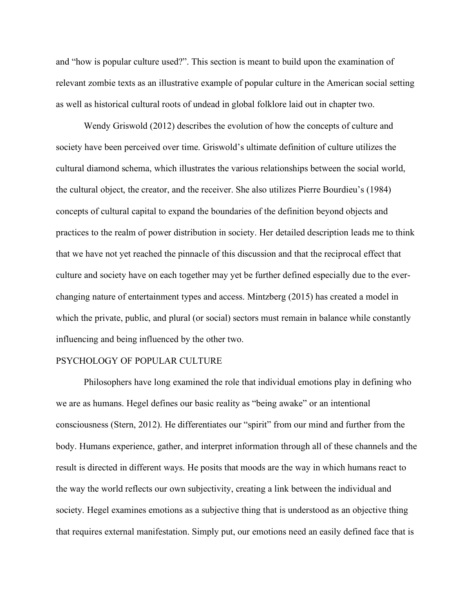and "how is popular culture used?". This section is meant to build upon the examination of relevant zombie texts as an illustrative example of popular culture in the American social setting as well as historical cultural roots of undead in global folklore laid out in chapter two.

Wendy Griswold (2012) describes the evolution of how the concepts of culture and society have been perceived over time. Griswold's ultimate definition of culture utilizes the cultural diamond schema, which illustrates the various relationships between the social world, the cultural object, the creator, and the receiver. She also utilizes Pierre Bourdieu's (1984) concepts of cultural capital to expand the boundaries of the definition beyond objects and practices to the realm of power distribution in society. Her detailed description leads me to think that we have not yet reached the pinnacle of this discussion and that the reciprocal effect that culture and society have on each together may yet be further defined especially due to the everchanging nature of entertainment types and access. Mintzberg (2015) has created a model in which the private, public, and plural (or social) sectors must remain in balance while constantly influencing and being influenced by the other two.

## PSYCHOLOGY OF POPULAR CULTURE

Philosophers have long examined the role that individual emotions play in defining who we are as humans. Hegel defines our basic reality as "being awake" or an intentional consciousness (Stern, 2012). He differentiates our "spirit" from our mind and further from the body. Humans experience, gather, and interpret information through all of these channels and the result is directed in different ways. He posits that moods are the way in which humans react to the way the world reflects our own subjectivity, creating a link between the individual and society. Hegel examines emotions as a subjective thing that is understood as an objective thing that requires external manifestation. Simply put, our emotions need an easily defined face that is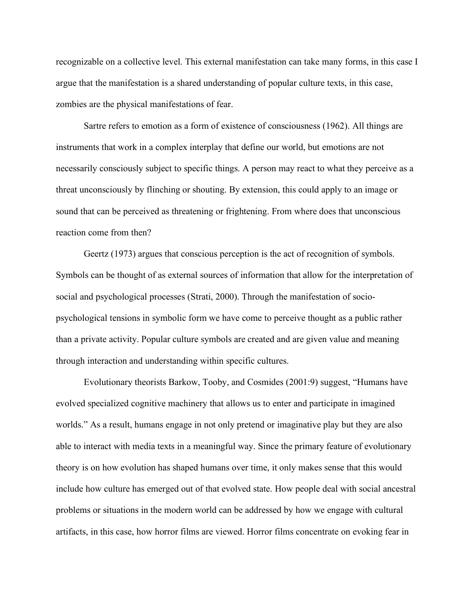recognizable on a collective level. This external manifestation can take many forms, in this case I argue that the manifestation is a shared understanding of popular culture texts, in this case, zombies are the physical manifestations of fear.

Sartre refers to emotion as a form of existence of consciousness (1962). All things are instruments that work in a complex interplay that define our world, but emotions are not necessarily consciously subject to specific things. A person may react to what they perceive as a threat unconsciously by flinching or shouting. By extension, this could apply to an image or sound that can be perceived as threatening or frightening. From where does that unconscious reaction come from then?

Geertz (1973) argues that conscious perception is the act of recognition of symbols. Symbols can be thought of as external sources of information that allow for the interpretation of social and psychological processes (Strati, 2000). Through the manifestation of sociopsychological tensions in symbolic form we have come to perceive thought as a public rather than a private activity. Popular culture symbols are created and are given value and meaning through interaction and understanding within specific cultures.

Evolutionary theorists Barkow, Tooby, and Cosmides (2001:9) suggest, "Humans have evolved specialized cognitive machinery that allows us to enter and participate in imagined worlds." As a result, humans engage in not only pretend or imaginative play but they are also able to interact with media texts in a meaningful way. Since the primary feature of evolutionary theory is on how evolution has shaped humans over time, it only makes sense that this would include how culture has emerged out of that evolved state. How people deal with social ancestral problems or situations in the modern world can be addressed by how we engage with cultural artifacts, in this case, how horror films are viewed. Horror films concentrate on evoking fear in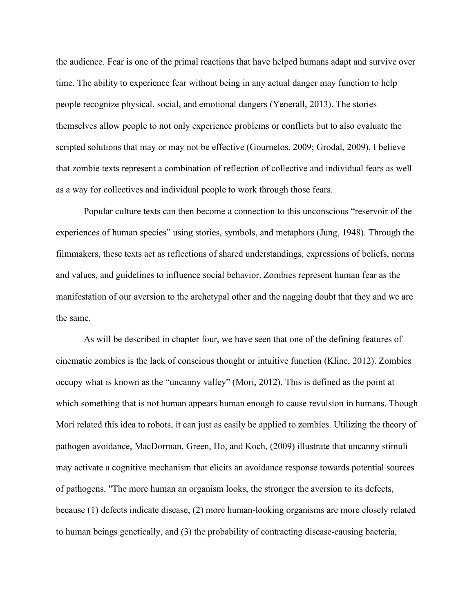the audience. Fear is one of the primal reactions that have helped humans adapt and survive over time. The ability to experience fear without being in any actual danger may function to help people recognize physical, social, and emotional dangers (Yenerall, 2013). The stories themselves allow people to not only experience problems or conflicts but to also evaluate the scripted solutions that may or may not be effective (Gournelos, 2009; Grodal, 2009). I believe that zombie texts represent a combination of reflection of collective and individual fears as well as a way for collectives and individual people to work through those fears.

Popular culture texts can then become a connection to this unconscious "reservoir of the experiences of human species" using stories, symbols, and metaphors (Jung, 1948). Through the filmmakers, these texts act as reflections of shared understandings, expressions of beliefs, norms and values, and guidelines to influence social behavior. Zombies represent human fear as the manifestation of our aversion to the archetypal other and the nagging doubt that they and we are the same.

As will be described in chapter four, we have seen that one of the defining features of cinematic zombies is the lack of conscious thought or intuitive function (Kline, 2012). Zombies occupy what is known as the "uncanny valley" (Mori, 2012). This is defined as the point at which something that is not human appears human enough to cause revulsion in humans. Though Mori related this idea to robots, it can just as easily be applied to zombies. Utilizing the theory of pathogen avoidance, MacDorman, Green, Ho, and Koch, (2009) illustrate that uncanny stimuli may activate a cognitive mechanism that elicits an avoidance response towards potential sources of pathogens. "The more human an organism looks, the stronger the aversion to its defects, because (1) defects indicate disease, (2) more human-looking organisms are more closely related to human beings genetically, and (3) the probability of contracting disease-causing bacteria,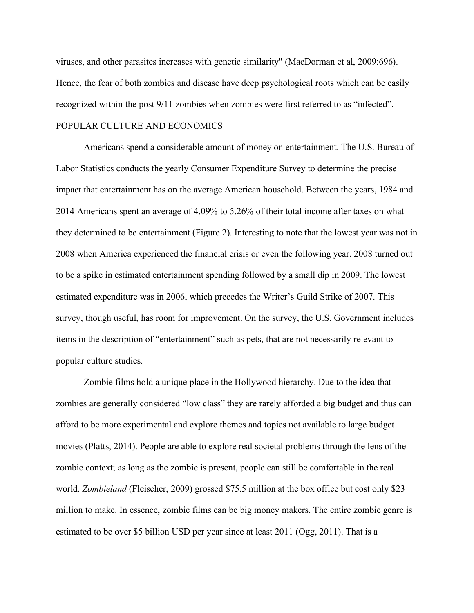viruses, and other parasites increases with genetic similarity" (MacDorman et al, 2009:696). Hence, the fear of both zombies and disease have deep psychological roots which can be easily recognized within the post 9/11 zombies when zombies were first referred to as "infected". POPULAR CULTURE AND ECONOMICS

Americans spend a considerable amount of money on entertainment. The U.S. Bureau of Labor Statistics conducts the yearly Consumer Expenditure Survey to determine the precise impact that entertainment has on the average American household. Between the years, 1984 and 2014 Americans spent an average of 4.09% to 5.26% of their total income after taxes on what they determined to be entertainment (Figure 2). Interesting to note that the lowest year was not in 2008 when America experienced the financial crisis or even the following year. 2008 turned out to be a spike in estimated entertainment spending followed by a small dip in 2009. The lowest estimated expenditure was in 2006, which precedes the Writer's Guild Strike of 2007. This survey, though useful, has room for improvement. On the survey, the U.S. Government includes items in the description of "entertainment" such as pets, that are not necessarily relevant to popular culture studies.

Zombie films hold a unique place in the Hollywood hierarchy. Due to the idea that zombies are generally considered "low class" they are rarely afforded a big budget and thus can afford to be more experimental and explore themes and topics not available to large budget movies (Platts, 2014). People are able to explore real societal problems through the lens of the zombie context; as long as the zombie is present, people can still be comfortable in the real world. *Zombieland* (Fleischer, 2009) grossed \$75.5 million at the box office but cost only \$23 million to make. In essence, zombie films can be big money makers. The entire zombie genre is estimated to be over \$5 billion USD per year since at least 2011 (Ogg, 2011). That is a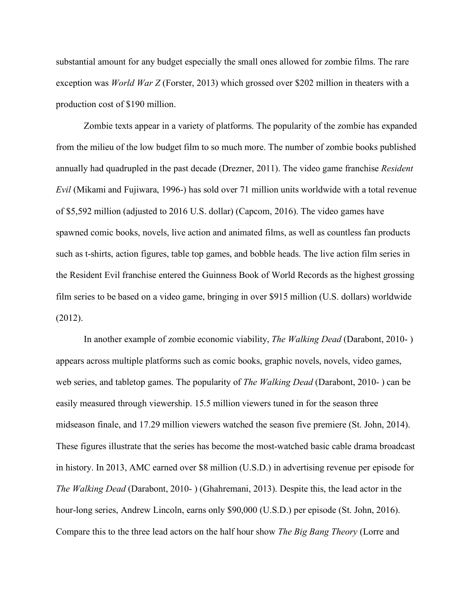substantial amount for any budget especially the small ones allowed for zombie films. The rare exception was *World War Z* (Forster, 2013) which grossed over \$202 million in theaters with a production cost of \$190 million.

Zombie texts appear in a variety of platforms. The popularity of the zombie has expanded from the milieu of the low budget film to so much more. The number of zombie books published annually had quadrupled in the past decade (Drezner, 2011). The video game franchise *Resident Evil* (Mikami and Fujiwara, 1996-) has sold over 71 million units worldwide with a total revenue of \$5,592 million (adjusted to 2016 U.S. dollar) (Capcom, 2016). The video games have spawned comic books, novels, live action and animated films, as well as countless fan products such as t-shirts, action figures, table top games, and bobble heads. The live action film series in the Resident Evil franchise entered the Guinness Book of World Records as the highest grossing film series to be based on a video game, bringing in over \$915 million (U.S. dollars) worldwide (2012).

In another example of zombie economic viability, *The Walking Dead* (Darabont, 2010- ) appears across multiple platforms such as comic books, graphic novels, novels, video games, web series, and tabletop games. The popularity of *The Walking Dead* (Darabont, 2010- ) can be easily measured through viewership. 15.5 million viewers tuned in for the season three midseason finale, and 17.29 million viewers watched the season five premiere (St. John, 2014). These figures illustrate that the series has become the most-watched basic cable drama broadcast in history. In 2013, AMC earned over \$8 million (U.S.D.) in advertising revenue per episode for *The Walking Dead* (Darabont, 2010- ) (Ghahremani, 2013). Despite this, the lead actor in the hour-long series, Andrew Lincoln, earns only \$90,000 (U.S.D.) per episode (St. John, 2016). Compare this to the three lead actors on the half hour show *The Big Bang Theory* (Lorre and